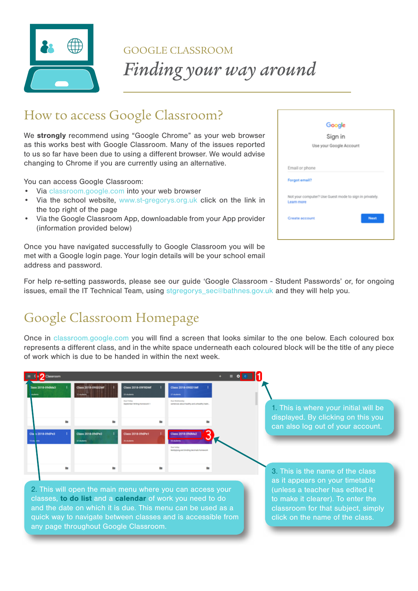

#### How to access Google Classroom?

We **strongly** recommend using "Google Chrome" as your web browser as this works best with Google Classroom. Many of the issues reported to us so far have been due to using a different browser. We would advise changing to Chrome if you are currently using an alternative.

You can access Google Classroom:

- Via [classroom.google.com](%20classroom.google.com) into your web browser
- Via the school website, <www.st-gregorys.org.uk> click on the link in the top right of the page
- Via the Google Classroom App, downloadable from your App provider (information provided below)

Once you have navigated successfully to Google Classroom you will be met with a Google login page. Your login details will be your school email address and password.

|                |                                                         | Google  |      |
|----------------|---------------------------------------------------------|---------|------|
|                |                                                         | Sign in |      |
|                | Use your Google Account                                 |         |      |
|                |                                                         |         |      |
| Email or phone |                                                         |         |      |
| Forgot email?  |                                                         |         |      |
|                | Not your computer? Use Guest mode to sign in privately. |         |      |
| Learn more     |                                                         |         |      |
| Create account |                                                         |         | Next |
|                |                                                         |         |      |

For help re-setting passwords, please see our guide 'Google Classroom - Student Passwords' or, for ongoing issues, email the IT Technical Team, using stgregorys\_sec@bathnes.gov.uk and they will help you.

## Google Classroom Homepage

Once in classroom.google.com you will find a screen that looks similar to the one below. Each coloured box represents a different class, and in the white space underneath each coloured block will be the title of any piece of work which is due to be handed in within the next week.



quick way to navigate between classes and is accessible from any page throughout Google Classroom.

click on the name of the class.